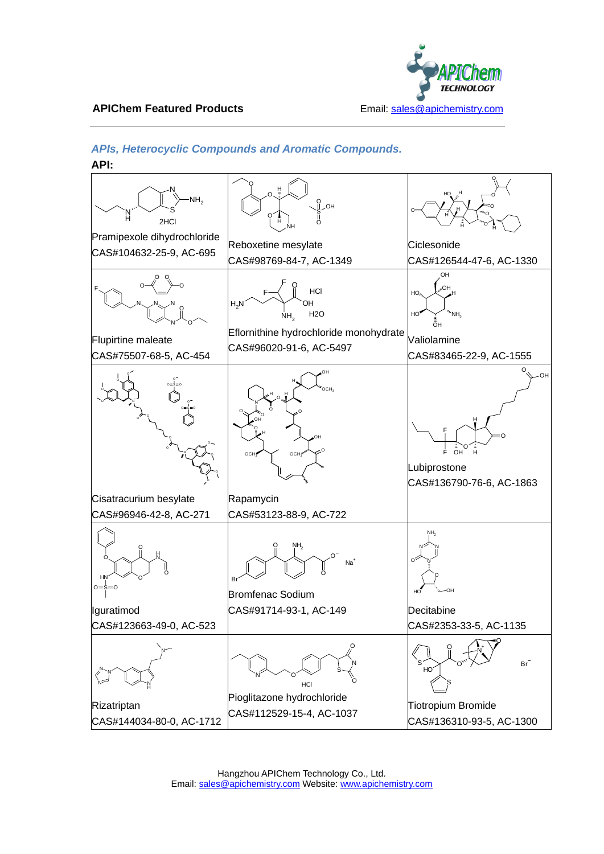

#### **APIChem Featured Products** Email: sales @apichemistry.com

# *APIs, Heterocyclic Compounds and Aromatic Compounds.*

**API:**

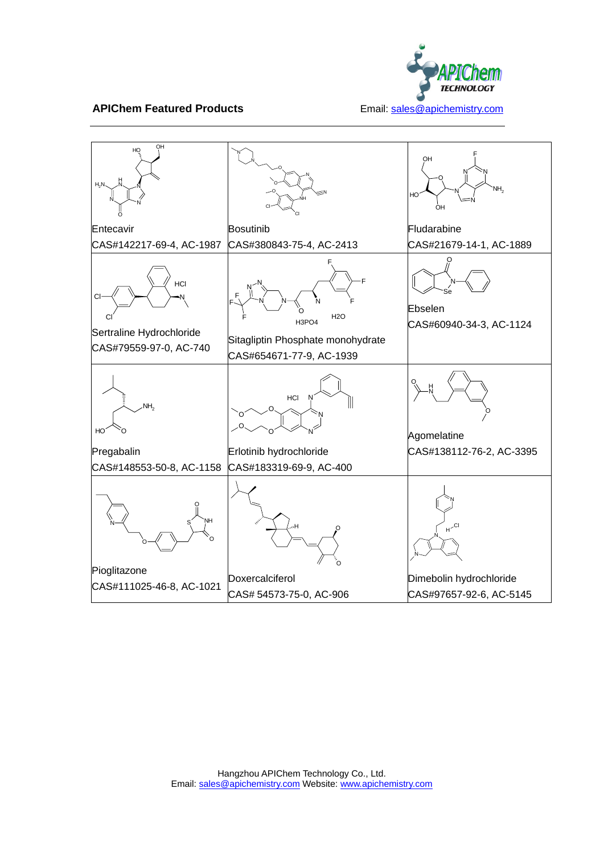

#### **APIChem Featured Products** Email: sales @apichemistry.com

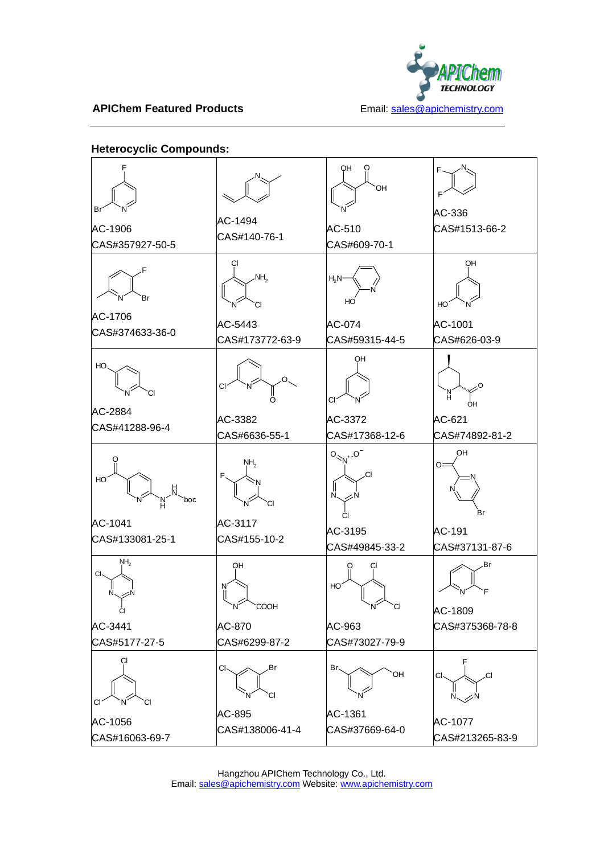

## **APIChem Featured Products Email:** sales@apichemistry.com

## **Heterocyclic Compounds:**

| NH <sub>2</sub><br>СI<br>AC-5443 | $H_2N$<br>HO<br>AC-074             | OН<br>HО<br>AC-1001                                        |
|----------------------------------|------------------------------------|------------------------------------------------------------|
| CI<br>O                          | OН<br>С                            | CAS#626-03-9<br>н<br>ÓН                                    |
| AC-3382<br>CAS#6636-55-1         | AC-3372<br>CAS#17368-12-6          | AC-621<br>CAS#74892-81-2<br>OH                             |
| NH <sub>2</sub><br>F<br>СI       | .CI<br>N.                          | O:<br>Br                                                   |
| AC-3117<br>CAS#155-10-2          | AC-3195<br>CAS#49845-33-2          | AC-191<br>CAS#37131-87-6                                   |
| OН<br>N<br>COOH                  | HO<br>CI.                          | Br<br>AC-1809                                              |
| AC-870<br>CAS#6299-87-2          | AC-963<br>CAS#73027-79-9           | CAS#375368-78-8                                            |
| CI-<br>.Br<br>СI<br>AC-895       | Br、<br><b>OH</b><br>AC-1361        | CI <sub>2</sub><br>.CI<br>$N \diagdown \eq N$<br>AC-1077   |
|                                  | CAS#173772-63-9<br>CAS#138006-41-4 | CAS#59315-44-5<br>$O_{\leq N^{+}} O^{-}$<br>CAS#37669-64-0 |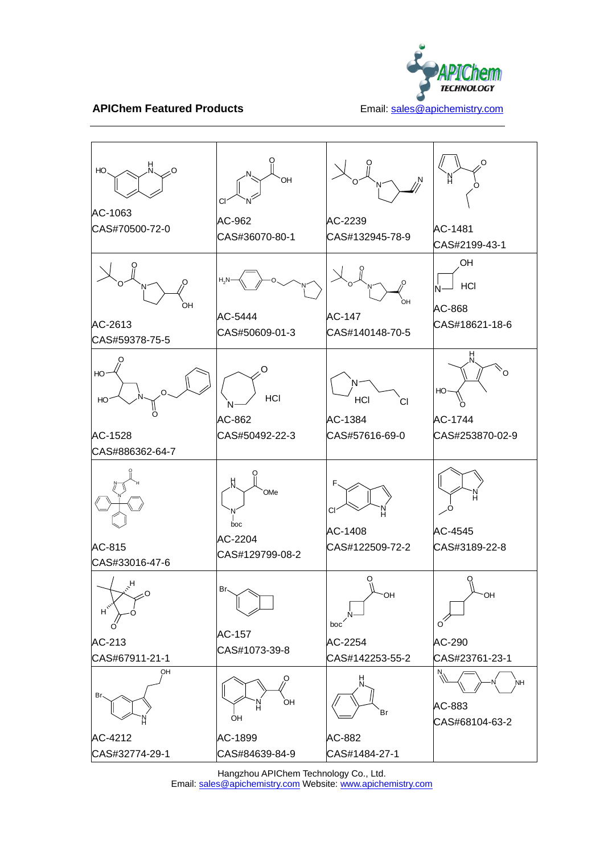

**APIChem Featured Products** Email: sales @apichemistry.com



Hangzhou APIChem Technology Co., Ltd. Email: sales@apichemistry.com Website: www.apichemistry.com